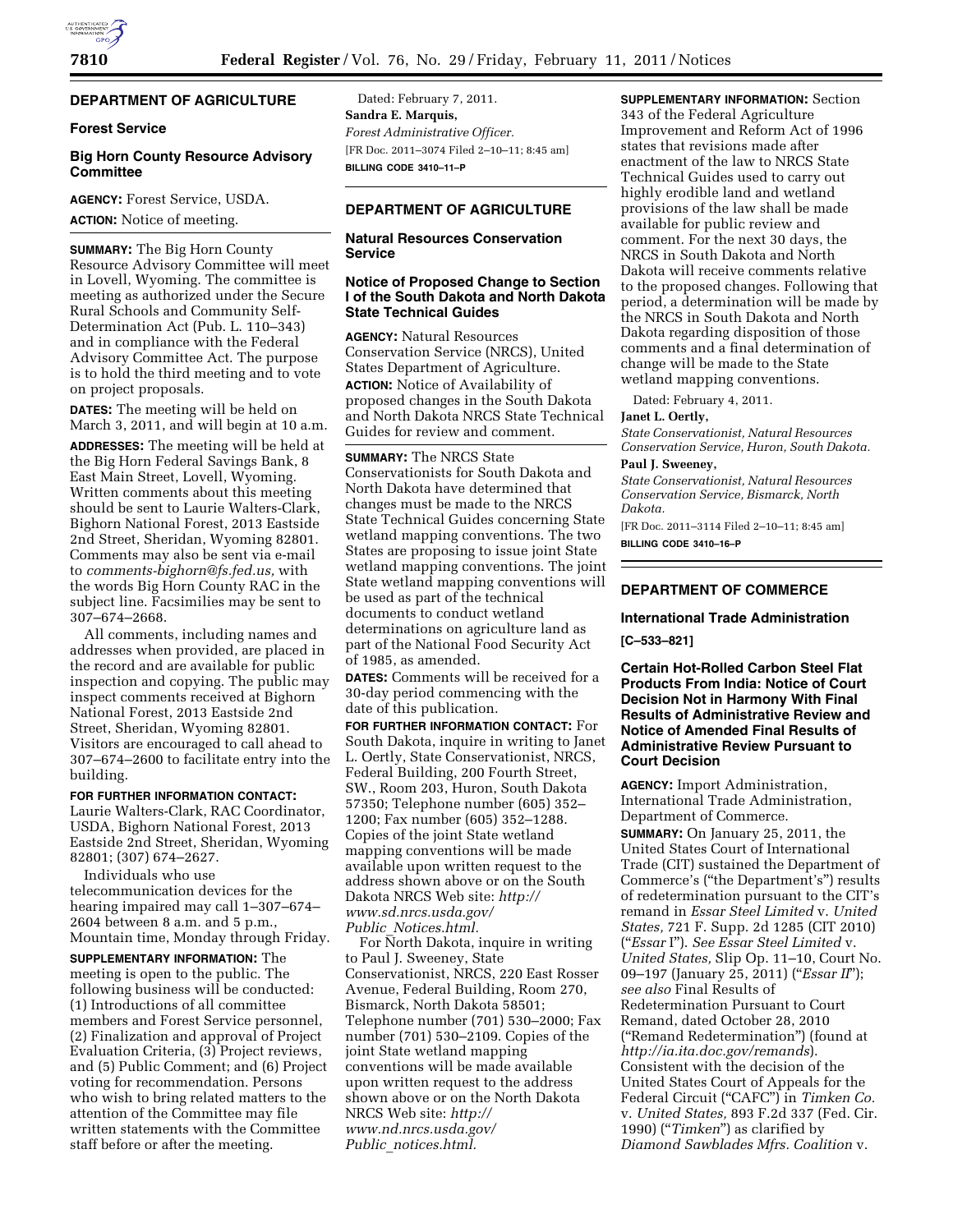# **DEPARTMENT OF AGRICULTURE**

## **Forest Service**

## **Big Horn County Resource Advisory Committee**

**AGENCY:** Forest Service, USDA.

**ACTION:** Notice of meeting.

**SUMMARY:** The Big Horn County Resource Advisory Committee will meet in Lovell, Wyoming. The committee is meeting as authorized under the Secure Rural Schools and Community Self-Determination Act (Pub. L. 110–343) and in compliance with the Federal Advisory Committee Act. The purpose is to hold the third meeting and to vote on project proposals.

**DATES:** The meeting will be held on March 3, 2011, and will begin at 10 a.m. **ADDRESSES:** The meeting will be held at the Big Horn Federal Savings Bank, 8

East Main Street, Lovell, Wyoming. Written comments about this meeting should be sent to Laurie Walters-Clark, Bighorn National Forest, 2013 Eastside 2nd Street, Sheridan, Wyoming 82801. Comments may also be sent via e-mail to *[comments-bighorn@fs.fed.us,](mailto:comments-bighorn@fs.fed.us)* with the words Big Horn County RAC in the subject line. Facsimilies may be sent to 307–674–2668.

All comments, including names and addresses when provided, are placed in the record and are available for public inspection and copying. The public may inspect comments received at Bighorn National Forest, 2013 Eastside 2nd Street, Sheridan, Wyoming 82801. Visitors are encouraged to call ahead to 307–674–2600 to facilitate entry into the building.

#### **FOR FURTHER INFORMATION CONTACT:**

Laurie Walters-Clark, RAC Coordinator, USDA, Bighorn National Forest, 2013 Eastside 2nd Street, Sheridan, Wyoming 82801; (307) 674–2627.

Individuals who use telecommunication devices for the hearing impaired may call 1–307–674– 2604 between 8 a.m. and 5 p.m., Mountain time, Monday through Friday.

**SUPPLEMENTARY INFORMATION:** The meeting is open to the public. The following business will be conducted: (1) Introductions of all committee members and Forest Service personnel, (2) Finalization and approval of Project Evaluation Criteria, (3) Project reviews, and (5) Public Comment; and (6) Project voting for recommendation. Persons who wish to bring related matters to the attention of the Committee may file written statements with the Committee staff before or after the meeting.

Dated: February 7, 2011. **Sandra E. Marquis,**  *Forest Administrative Officer.*  [FR Doc. 2011–3074 Filed 2–10–11; 8:45 am] **BILLING CODE 3410–11–P** 

# **DEPARTMENT OF AGRICULTURE**

# **Natural Resources Conservation Service**

# **Notice of Proposed Change to Section I of the South Dakota and North Dakota State Technical Guides**

**AGENCY:** Natural Resources Conservation Service (NRCS), United States Department of Agriculture. **ACTION:** Notice of Availability of proposed changes in the South Dakota and North Dakota NRCS State Technical Guides for review and comment.

**SUMMARY:** The NRCS State Conservationists for South Dakota and North Dakota have determined that changes must be made to the NRCS State Technical Guides concerning State wetland mapping conventions. The two States are proposing to issue joint State wetland mapping conventions. The joint State wetland mapping conventions will be used as part of the technical documents to conduct wetland determinations on agriculture land as part of the National Food Security Act of 1985, as amended.

**DATES:** Comments will be received for a 30-day period commencing with the date of this publication.

**FOR FURTHER INFORMATION CONTACT:** For South Dakota, inquire in writing to Janet L. Oertly, State Conservationist, NRCS, Federal Building, 200 Fourth Street, SW., Room 203, Huron, South Dakota 57350; Telephone number (605) 352– 1200; Fax number (605) 352–1288. Copies of the joint State wetland mapping conventions will be made available upon written request to the address shown above or on the South Dakota NRCS Web site: *[http://](http://www.sd.nrcs.usda.gov/Public_Notices.html)  [www.sd.nrcs.usda.gov/](http://www.sd.nrcs.usda.gov/Public_Notices.html) Public*\_*[Notices.html.](http://www.sd.nrcs.usda.gov/Public_Notices.html)* 

For North Dakota, inquire in writing to Paul J. Sweeney, State Conservationist, NRCS, 220 East Rosser Avenue, Federal Building, Room 270, Bismarck, North Dakota 58501; Telephone number (701) 530–2000; Fax number (701) 530–2109. Copies of the joint State wetland mapping conventions will be made available upon written request to the address shown above or on the North Dakota NRCS Web site: *[http://](http://www.nd.nrcs.usda.gov/Public_notices.html)  [www.nd.nrcs.usda.gov/](http://www.nd.nrcs.usda.gov/Public_notices.html)  Public*\_*[notices.html.](http://www.nd.nrcs.usda.gov/Public_notices.html)* 

**SUPPLEMENTARY INFORMATION:** Section 343 of the Federal Agriculture Improvement and Reform Act of 1996 states that revisions made after enactment of the law to NRCS State Technical Guides used to carry out highly erodible land and wetland provisions of the law shall be made available for public review and comment. For the next 30 days, the NRCS in South Dakota and North Dakota will receive comments relative to the proposed changes. Following that period, a determination will be made by the NRCS in South Dakota and North Dakota regarding disposition of those comments and a final determination of change will be made to the State wetland mapping conventions.

Dated: February 4, 2011.

### **Janet L. Oertly,**

*State Conservationist, Natural Resources Conservation Service, Huron, South Dakota.* 

### **Paul J. Sweeney,**

*State Conservationist, Natural Resources Conservation Service, Bismarck, North Dakota.* 

[FR Doc. 2011–3114 Filed 2–10–11; 8:45 am] **BILLING CODE 3410–16–P** 

# **DEPARTMENT OF COMMERCE**

### **International Trade Administration**

**[C–533–821]** 

**Certain Hot-Rolled Carbon Steel Flat Products From India: Notice of Court Decision Not in Harmony With Final Results of Administrative Review and Notice of Amended Final Results of Administrative Review Pursuant to Court Decision** 

**AGENCY:** Import Administration, International Trade Administration, Department of Commerce.

**SUMMARY:** On January 25, 2011, the United States Court of International Trade (CIT) sustained the Department of Commerce's (''the Department's'') results of redetermination pursuant to the CIT's remand in *Essar Steel Limited* v. *United States,* 721 F. Supp. 2d 1285 (CIT 2010) (''*Essar* I''). *See Essar Steel Limited* v. *United States,* Slip Op. 11–10, Court No. 09–197 (January 25, 2011) (''*Essar II*''); *see also* Final Results of Redetermination Pursuant to Court Remand, dated October 28, 2010 (''Remand Redetermination'') (found at *<http://ia.ita.doc.gov/remands>*). Consistent with the decision of the United States Court of Appeals for the Federal Circuit ("CAFC") in *Timken Co.* v. *United States,* 893 F.2d 337 (Fed. Cir. 1990) (''*Timken*'') as clarified by *Diamond Sawblades Mfrs. Coalition* v.